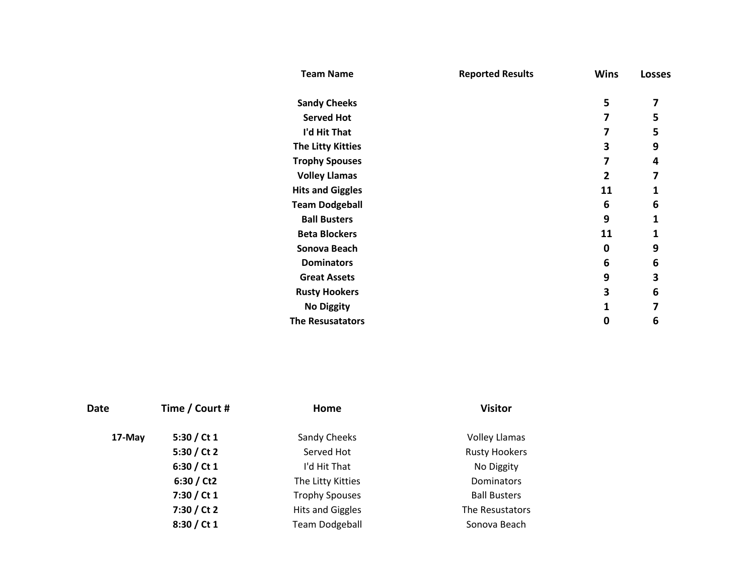| <b>Team Name</b>         | <b>Reported Results</b> | <b>Wins</b>  | <b>Losses</b> |
|--------------------------|-------------------------|--------------|---------------|
| <b>Sandy Cheeks</b>      |                         | 5            | 7             |
| <b>Served Hot</b>        |                         | 7            | 5             |
| I'd Hit That             |                         | 7            | 5             |
| <b>The Litty Kitties</b> |                         | 3            | 9             |
| <b>Trophy Spouses</b>    |                         | 7            | 4             |
| <b>Volley Llamas</b>     |                         | $\mathbf{2}$ | 7             |
| <b>Hits and Giggles</b>  |                         | 11           | 1             |
| <b>Team Dodgeball</b>    |                         | 6            | 6             |
| <b>Ball Busters</b>      |                         | 9            | 1             |
| <b>Beta Blockers</b>     |                         | 11           | 1             |
| Sonova Beach             |                         | 0            | 9             |
| <b>Dominators</b>        |                         | 6            | 6             |
| <b>Great Assets</b>      |                         | 9            | 3             |
| <b>Rusty Hookers</b>     |                         | 3            | 6             |
| <b>No Diggity</b>        |                         | 1            | 7             |
| <b>The Resusatators</b>  |                         | 0            | 6             |

| Date   | Time / Court # | Home                    | <b>Visitor</b>       |
|--------|----------------|-------------------------|----------------------|
| 17-May | 5:30 / Ct $1$  | Sandy Cheeks            | <b>Volley Llamas</b> |
|        | 5:30 / Ct 2    | Served Hot              | <b>Rusty Hookers</b> |
|        | 6:30 / Ct 1    | I'd Hit That            | No Diggity           |
|        | 6:30 / Ct2     | The Litty Kitties       | Dominators           |
|        | 7:30 / Ct 1    | <b>Trophy Spouses</b>   | <b>Ball Busters</b>  |
|        | 7:30 / Ct 2    | <b>Hits and Giggles</b> | The Resustators      |
|        | 8:30 / Ct 1    | <b>Team Dodgeball</b>   | Sonova Beach         |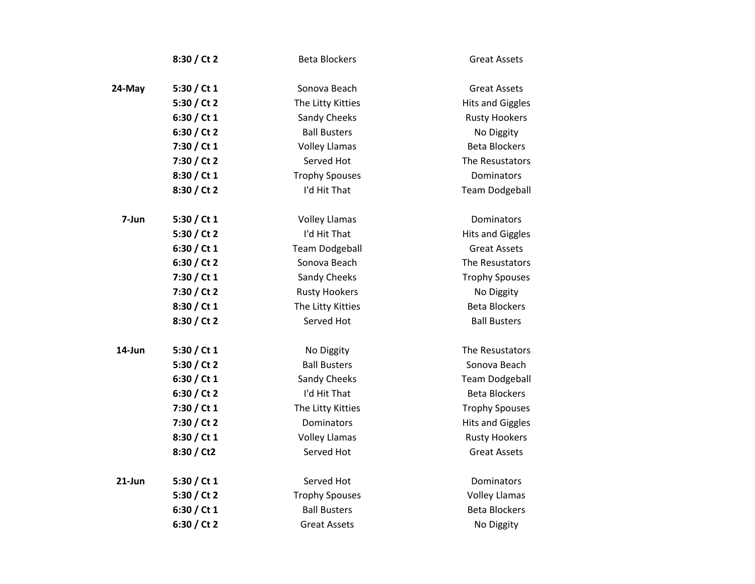|           | 8:30 / Ct 2   | <b>Beta Blockers</b>  | <b>Great Assets</b>     |
|-----------|---------------|-----------------------|-------------------------|
| 24-May    | 5:30 / Ct $1$ | Sonova Beach          | <b>Great Assets</b>     |
|           | 5:30 / Ct 2   | The Litty Kitties     | <b>Hits and Giggles</b> |
|           | 6:30 / Ct 1   | Sandy Cheeks          | <b>Rusty Hookers</b>    |
|           | 6:30 / Ct 2   | <b>Ball Busters</b>   | No Diggity              |
|           | 7:30 / Ct 1   | <b>Volley Llamas</b>  | <b>Beta Blockers</b>    |
|           | 7:30 / Ct 2   | Served Hot            | The Resustators         |
|           | 8:30 / Ct 1   | <b>Trophy Spouses</b> | Dominators              |
|           | 8:30 / Ct 2   | I'd Hit That          | <b>Team Dodgeball</b>   |
| 7-Jun     | 5:30 / Ct 1   | <b>Volley Llamas</b>  | Dominators              |
|           | 5:30 / Ct 2   | I'd Hit That          | <b>Hits and Giggles</b> |
|           | 6:30 / Ct 1   | <b>Team Dodgeball</b> | <b>Great Assets</b>     |
|           | 6:30 / Ct 2   | Sonova Beach          | The Resustators         |
|           | 7:30 / Ct 1   | Sandy Cheeks          | <b>Trophy Spouses</b>   |
|           | 7:30 / Ct 2   | <b>Rusty Hookers</b>  | No Diggity              |
|           | 8:30 / Ct 1   | The Litty Kitties     | <b>Beta Blockers</b>    |
|           | 8:30 / Ct 2   | Served Hot            | <b>Ball Busters</b>     |
| 14-Jun    | 5:30 / Ct 1   | No Diggity            | The Resustators         |
|           | 5:30 / Ct 2   | <b>Ball Busters</b>   | Sonova Beach            |
|           | 6:30 / Ct $1$ | Sandy Cheeks          | <b>Team Dodgeball</b>   |
|           | 6:30 / Ct 2   | I'd Hit That          | <b>Beta Blockers</b>    |
|           | 7:30 / Ct 1   | The Litty Kitties     | <b>Trophy Spouses</b>   |
|           | 7:30 / Ct 2   | Dominators            | <b>Hits and Giggles</b> |
|           | 8:30 / Ct 1   | <b>Volley Llamas</b>  | <b>Rusty Hookers</b>    |
|           | 8:30 / Ct2    | Served Hot            | <b>Great Assets</b>     |
| $21$ -Jun | 5:30 / Ct 1   | Served Hot            | Dominators              |
|           | 5:30 / Ct 2   | <b>Trophy Spouses</b> | <b>Volley Llamas</b>    |
|           | 6:30 / Ct 1   | <b>Ball Busters</b>   | <b>Beta Blockers</b>    |
|           | 6:30 / Ct 2   | <b>Great Assets</b>   | No Diggity              |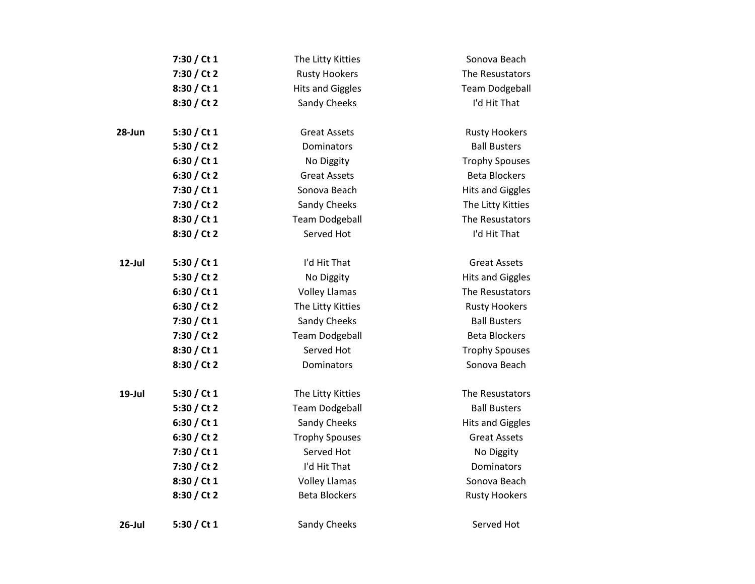|            | 7:30 / Ct 1   | The Litty Kitties       | Sonova Beach            |
|------------|---------------|-------------------------|-------------------------|
|            | 7:30 / Ct 2   | <b>Rusty Hookers</b>    | The Resustators         |
|            | 8:30 / Ct 1   | <b>Hits and Giggles</b> | <b>Team Dodgeball</b>   |
|            | 8:30 / Ct 2   | Sandy Cheeks            | I'd Hit That            |
| $28 - Jun$ | 5:30 / Ct $1$ | <b>Great Assets</b>     | <b>Rusty Hookers</b>    |
|            | 5:30 / Ct 2   | Dominators              | <b>Ball Busters</b>     |
|            | 6:30 / Ct $1$ | No Diggity              | <b>Trophy Spouses</b>   |
|            | 6:30 / Ct 2   | <b>Great Assets</b>     | <b>Beta Blockers</b>    |
|            | 7:30 / Ct 1   | Sonova Beach            | <b>Hits and Giggles</b> |
|            | 7:30 / Ct 2   | Sandy Cheeks            | The Litty Kitties       |
|            | 8:30 / Ct 1   | <b>Team Dodgeball</b>   | The Resustators         |
|            | 8:30 / Ct 2   | Served Hot              | I'd Hit That            |
| 12-Jul     | 5:30 / Ct $1$ | I'd Hit That            | <b>Great Assets</b>     |
|            | 5:30 / Ct 2   | No Diggity              | <b>Hits and Giggles</b> |
|            | 6:30 / Ct $1$ | <b>Volley Llamas</b>    | The Resustators         |
|            | 6:30 / Ct 2   | The Litty Kitties       | <b>Rusty Hookers</b>    |
|            | 7:30 / Ct 1   | Sandy Cheeks            | <b>Ball Busters</b>     |
|            | 7:30 / Ct 2   | <b>Team Dodgeball</b>   | <b>Beta Blockers</b>    |
|            | 8:30 / Ct 1   | Served Hot              | <b>Trophy Spouses</b>   |
|            | 8:30 / Ct 2   | Dominators              | Sonova Beach            |
| 19-Jul     | 5:30 / Ct $1$ | The Litty Kitties       | The Resustators         |
|            | 5:30 / Ct 2   | <b>Team Dodgeball</b>   | <b>Ball Busters</b>     |
|            | 6:30 / Ct 1   | Sandy Cheeks            | <b>Hits and Giggles</b> |
|            | 6:30 / Ct 2   | <b>Trophy Spouses</b>   | <b>Great Assets</b>     |
|            | 7:30 / Ct 1   | Served Hot              | No Diggity              |
|            | 7:30 / Ct 2   | I'd Hit That            | Dominators              |
|            | 8:30 / Ct 1   | <b>Volley Llamas</b>    | Sonova Beach            |
|            | 8:30 / Ct 2   | <b>Beta Blockers</b>    | <b>Rusty Hookers</b>    |
| 26-Jul     | 5:30 / Ct 1   | Sandy Cheeks            | Served Hot              |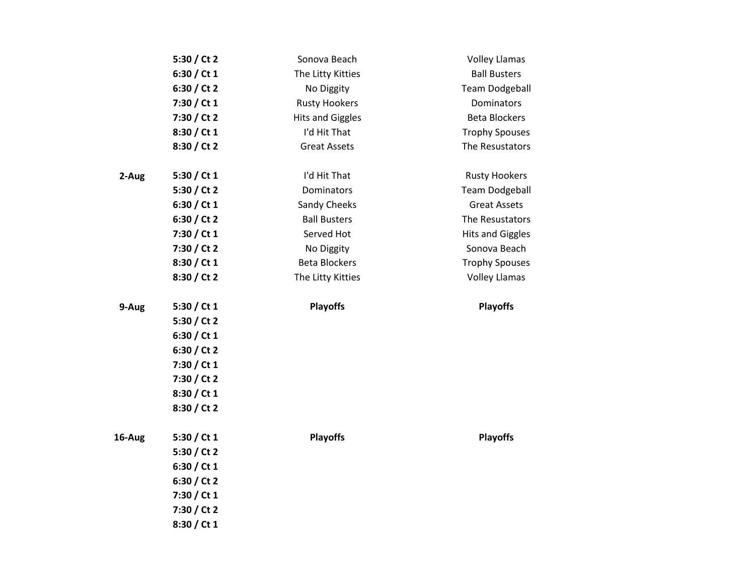|        | 5:30 / Ct 2   | Sonova Beach            | <b>Volley Llamas</b>    |
|--------|---------------|-------------------------|-------------------------|
|        | 6:30 / Ct $1$ | The Litty Kitties       | <b>Ball Busters</b>     |
|        | 6:30 / Ct 2   | No Diggity              | <b>Team Dodgeball</b>   |
|        | 7:30 / Ct 1   | <b>Rusty Hookers</b>    | Dominators              |
|        | 7:30 / Ct 2   | <b>Hits and Giggles</b> | <b>Beta Blockers</b>    |
|        | 8:30 / Ct 1   | I'd Hit That            | <b>Trophy Spouses</b>   |
|        | 8:30 / Ct 2   | <b>Great Assets</b>     | The Resustators         |
|        |               |                         |                         |
| 2-Aug  | 5:30 / Ct 1   | I'd Hit That            | <b>Rusty Hookers</b>    |
|        | 5:30 / Ct 2   | Dominators              | <b>Team Dodgeball</b>   |
|        | 6:30 / Ct $1$ | Sandy Cheeks            | <b>Great Assets</b>     |
|        | 6:30 / Ct 2   | <b>Ball Busters</b>     | The Resustators         |
|        | 7:30 / Ct 1   | Served Hot              | <b>Hits and Giggles</b> |
|        | 7:30 / Ct 2   | No Diggity              | Sonova Beach            |
|        | 8:30 / Ct 1   | <b>Beta Blockers</b>    | <b>Trophy Spouses</b>   |
|        | 8:30 / Ct 2   | The Litty Kitties       | <b>Volley Llamas</b>    |
|        |               |                         |                         |
| 9-Aug  | 5:30 / Ct 1   | <b>Playoffs</b>         | <b>Playoffs</b>         |
|        | 5:30 / Ct 2   |                         |                         |
|        | 6:30 / Ct $1$ |                         |                         |
|        | 6:30 / Ct 2   |                         |                         |
|        | 7:30 / Ct 1   |                         |                         |
|        | 7:30 / Ct 2   |                         |                         |
|        | 8:30 / Ct 1   |                         |                         |
|        | 8:30 / Ct 2   |                         |                         |
| 16-Aug | 5:30 / Ct 1   | <b>Playoffs</b>         | <b>Playoffs</b>         |
|        | 5:30 / Ct 2   |                         |                         |
|        | 6:30 / Ct $1$ |                         |                         |
|        | 6:30 / Ct 2   |                         |                         |
|        | 7:30 / Ct 1   |                         |                         |
|        | 7:30 / Ct 2   |                         |                         |
|        | 8:30 / Ct 1   |                         |                         |
|        |               |                         |                         |